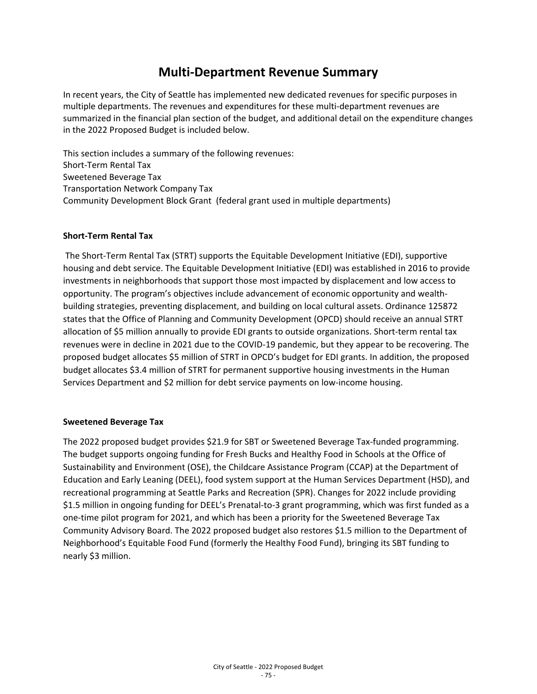# **Multi-Department Revenue Summary**

In recent years, the City of Seattle has implemented new dedicated revenues for specific purposes in multiple departments. The revenues and expenditures for these multi-department revenues are summarized in the financial plan section of the budget, and additional detail on the expenditure changes in the 2022 Proposed Budget is included below.

This section includes a summary of the following revenues: Short-Term Rental Tax Sweetened Beverage Tax Transportation Network Company Tax Community Development Block Grant (federal grant used in multiple departments)

#### **Short-Term Rental Tax**

The Short-Term Rental Tax (STRT) supports the Equitable Development Initiative (EDI), supportive housing and debt service. The Equitable Development Initiative (EDI) was established in 2016 to provide investments in neighborhoods that support those most impacted by displacement and low access to opportunity. The program's objectives include advancement of economic opportunity and wealthbuilding strategies, preventing displacement, and building on local cultural assets. Ordinance 125872 states that the Office of Planning and Community Development (OPCD) should receive an annual STRT allocation of \$5 million annually to provide EDI grants to outside organizations. Short-term rental tax revenues were in decline in 2021 due to the COVID-19 pandemic, but they appear to be recovering. The proposed budget allocates \$5 million of STRT in OPCD's budget for EDI grants. In addition, the proposed budget allocates \$3.4 million of STRT for permanent supportive housing investments in the Human Services Department and \$2 million for debt service payments on low-income housing.

#### **Sweetened Beverage Tax**

The 2022 proposed budget provides \$21.9 for SBT or Sweetened Beverage Tax-funded programming. The budget supports ongoing funding for Fresh Bucks and Healthy Food in Schools at the Office of Sustainability and Environment (OSE), the Childcare Assistance Program (CCAP) at the Department of Education and Early Leaning (DEEL), food system support at the Human Services Department (HSD), and recreational programming at Seattle Parks and Recreation (SPR). Changes for 2022 include providing \$1.5 million in ongoing funding for DEEL's Prenatal-to-3 grant programming, which was first funded as a one-time pilot program for 2021, and which has been a priority for the Sweetened Beverage Tax Community Advisory Board. The 2022 proposed budget also restores \$1.5 million to the Department of Neighborhood's Equitable Food Fund (formerly the Healthy Food Fund), bringing its SBT funding to nearly \$3 million.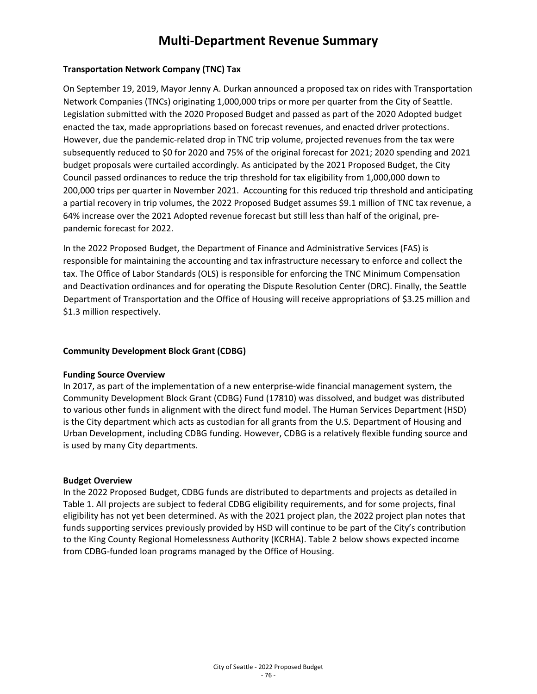# **Multi-Department Revenue Summary**

#### **Transportation Network Company (TNC) Tax**

On September 19, 2019, Mayor Jenny A. Durkan announced a proposed tax on rides with Transportation Network Companies (TNCs) originating 1,000,000 trips or more per quarter from the City of Seattle. Legislation submitted with the 2020 Proposed Budget and passed as part of the 2020 Adopted budget enacted the tax, made appropriations based on forecast revenues, and enacted driver protections. However, due the pandemic-related drop in TNC trip volume, projected revenues from the tax were subsequently reduced to \$0 for 2020 and 75% of the original forecast for 2021; 2020 spending and 2021 budget proposals were curtailed accordingly. As anticipated by the 2021 Proposed Budget, the City Council passed ordinances to reduce the trip threshold for tax eligibility from 1,000,000 down to 200,000 trips per quarter in November 2021. Accounting for this reduced trip threshold and anticipating a partial recovery in trip volumes, the 2022 Proposed Budget assumes \$9.1 million of TNC tax revenue, a 64% increase over the 2021 Adopted revenue forecast but still less than half of the original, prepandemic forecast for 2022.

In the 2022 Proposed Budget, the Department of Finance and Administrative Services (FAS) is responsible for maintaining the accounting and tax infrastructure necessary to enforce and collect the tax. The Office of Labor Standards (OLS) is responsible for enforcing the TNC Minimum Compensation and Deactivation ordinances and for operating the Dispute Resolution Center (DRC). Finally, the Seattle Department of Transportation and the Office of Housing will receive appropriations of \$3.25 million and \$1.3 million respectively.

#### **Community Development Block Grant (CDBG)**

#### **Funding Source Overview**

In 2017, as part of the implementation of a new enterprise-wide financial management system, the Community Development Block Grant (CDBG) Fund (17810) was dissolved, and budget was distributed to various other funds in alignment with the direct fund model. The Human Services Department (HSD) is the City department which acts as custodian for all grants from the U.S. Department of Housing and Urban Development, including CDBG funding. However, CDBG is a relatively flexible funding source and is used by many City departments.

#### **Budget Overview**

In the 2022 Proposed Budget, CDBG funds are distributed to departments and projects as detailed in Table 1. All projects are subject to federal CDBG eligibility requirements, and for some projects, final eligibility has not yet been determined. As with the 2021 project plan, the 2022 project plan notes that funds supporting services previously provided by HSD will continue to be part of the City's contribution to the King County Regional Homelessness Authority (KCRHA). Table 2 below shows expected income from CDBG-funded loan programs managed by the Office of Housing.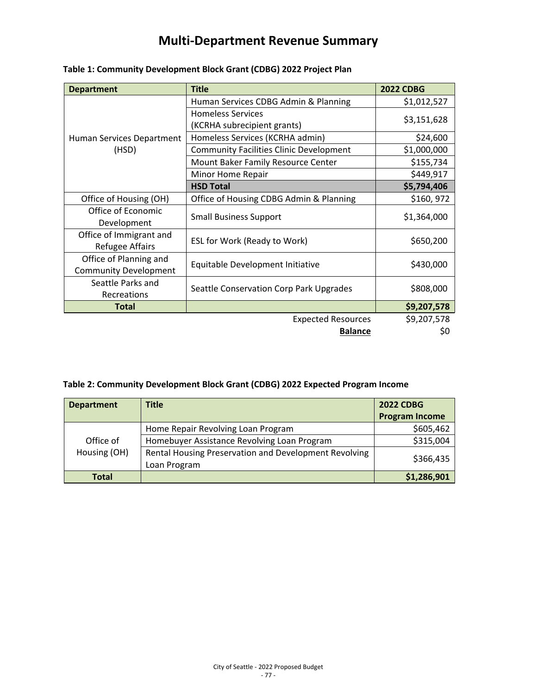# **Multi-Department Revenue Summary**

| <b>Department</b>                  | <b>Title</b>                                            | <b>2022 CDBG</b>                        |
|------------------------------------|---------------------------------------------------------|-----------------------------------------|
| Human Services Department<br>(HSD) | Human Services CDBG Admin & Planning                    | \$1,012,527                             |
|                                    | <b>Homeless Services</b><br>(KCRHA subrecipient grants) | \$3,151,628                             |
|                                    |                                                         |                                         |
|                                    | <b>Community Facilities Clinic Development</b>          | \$1,000,000                             |
|                                    | Mount Baker Family Resource Center                      | \$155,734                               |
|                                    | Minor Home Repair                                       | \$449,917                               |
|                                    | <b>HSD Total</b>                                        | \$5,794,406                             |
|                                    | Office of Housing (OH)                                  | Office of Housing CDBG Admin & Planning |
| Office of Economic                 | <b>Small Business Support</b>                           | \$1,364,000                             |
| Development                        |                                                         |                                         |
| Office of Immigrant and            | ESL for Work (Ready to Work)                            | \$650,200                               |
| <b>Refugee Affairs</b>             |                                                         |                                         |
| Office of Planning and             | Equitable Development Initiative                        | \$430,000                               |
| <b>Community Development</b>       |                                                         |                                         |
| Seattle Parks and                  | Seattle Conservation Corp Park Upgrades                 | \$808,000                               |
| Recreations                        |                                                         |                                         |
| <b>Total</b>                       |                                                         | \$9,207,578                             |
|                                    | <b>Expected Resources</b>                               | \$9,207,578                             |
|                                    | <b>Balance</b>                                          | \$0                                     |

## **Table 1: Community Development Block Grant (CDBG) 2022 Project Plan**

### **Table 2: Community Development Block Grant (CDBG) 2022 Expected Program Income**

| <b>Department</b>         | <b>Title</b>                                                          | <b>2022 CDBG</b>      |
|---------------------------|-----------------------------------------------------------------------|-----------------------|
|                           |                                                                       | <b>Program Income</b> |
|                           | Home Repair Revolving Loan Program                                    | \$605,462             |
| Office of<br>Housing (OH) | Homebuyer Assistance Revolving Loan Program                           | \$315,004             |
|                           | Rental Housing Preservation and Development Revolving<br>Loan Program | \$366,435             |
| <b>Total</b>              |                                                                       | \$1,286,901           |